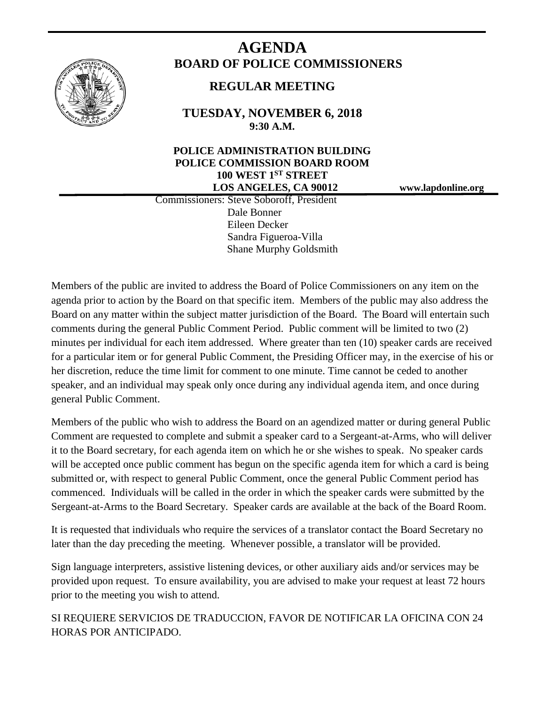

# **AGENDA BOARD OF POLICE COMMISSIONERS**

## **REGULAR MEETING**

**TUESDAY, NOVEMBER 6, 2018 9:30 A.M.**

## **POLICE ADMINISTRATION BUILDING POLICE COMMISSION BOARD ROOM 100 WEST 1ST STREET LOS ANGELES, CA 90012 www.lapdonline.org**

 Commissioners: Steve Soboroff, President Dale Bonner Eileen Decker Sandra Figueroa-Villa Shane Murphy Goldsmith

Members of the public are invited to address the Board of Police Commissioners on any item on the agenda prior to action by the Board on that specific item. Members of the public may also address the Board on any matter within the subject matter jurisdiction of the Board. The Board will entertain such comments during the general Public Comment Period. Public comment will be limited to two (2) minutes per individual for each item addressed. Where greater than ten (10) speaker cards are received for a particular item or for general Public Comment, the Presiding Officer may, in the exercise of his or her discretion, reduce the time limit for comment to one minute. Time cannot be ceded to another speaker, and an individual may speak only once during any individual agenda item, and once during general Public Comment.

Members of the public who wish to address the Board on an agendized matter or during general Public Comment are requested to complete and submit a speaker card to a Sergeant-at-Arms, who will deliver it to the Board secretary, for each agenda item on which he or she wishes to speak. No speaker cards will be accepted once public comment has begun on the specific agenda item for which a card is being submitted or, with respect to general Public Comment, once the general Public Comment period has commenced. Individuals will be called in the order in which the speaker cards were submitted by the Sergeant-at-Arms to the Board Secretary. Speaker cards are available at the back of the Board Room.

It is requested that individuals who require the services of a translator contact the Board Secretary no later than the day preceding the meeting. Whenever possible, a translator will be provided.

Sign language interpreters, assistive listening devices, or other auxiliary aids and/or services may be provided upon request. To ensure availability, you are advised to make your request at least 72 hours prior to the meeting you wish to attend.

SI REQUIERE SERVICIOS DE TRADUCCION, FAVOR DE NOTIFICAR LA OFICINA CON 24 HORAS POR ANTICIPADO.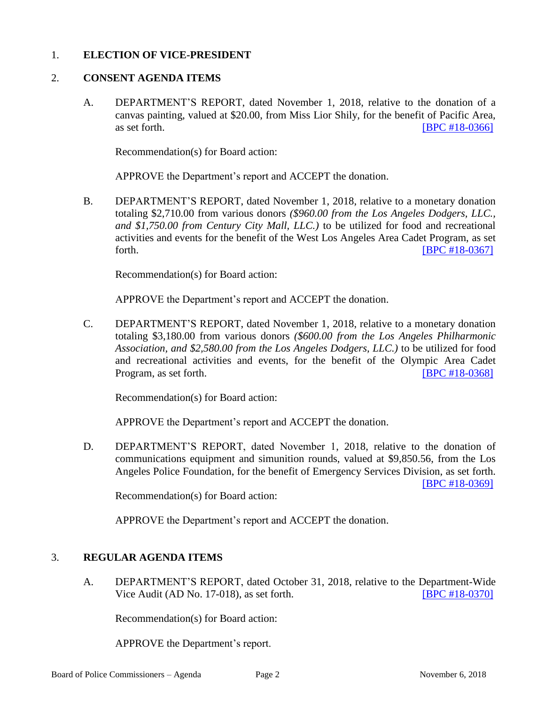#### 1. **ELECTION OF VICE-PRESIDENT**

#### 2. **CONSENT AGENDA ITEMS**

A. DEPARTMENT'S REPORT, dated November 1, 2018, relative to the donation of a canvas painting, valued at \$20.00, from Miss Lior Shily, for the benefit of Pacific Area, as set forth. **IBPC #18-0366**]

Recommendation(s) for Board action:

APPROVE the Department's report and ACCEPT the donation.

B. DEPARTMENT'S REPORT, dated November 1, 2018, relative to a monetary donation totaling \$2,710.00 from various donors *(\$960.00 from the Los Angeles Dodgers, LLC., and \$1,750.00 from Century City Mall, LLC.)* to be utilized for food and recreational activities and events for the benefit of the West Los Angeles Area Cadet Program, as set forth. **IBPC #18-0367]** 

Recommendation(s) for Board action:

APPROVE the Department's report and ACCEPT the donation.

C. DEPARTMENT'S REPORT, dated November 1, 2018, relative to a monetary donation totaling \$3,180.00 from various donors *(\$600.00 from the Los Angeles Philharmonic Association, and \$2,580.00 from the Los Angeles Dodgers, LLC.)* to be utilized for food and recreational activities and events, for the benefit of the Olympic Area Cadet Program, as set forth. **IDPC #18-0368** 

Recommendation(s) for Board action:

APPROVE the Department's report and ACCEPT the donation.

D. DEPARTMENT'S REPORT, dated November 1, 2018, relative to the donation of communications equipment and simunition rounds, valued at \$9,850.56, from the Los Angeles Police Foundation, for the benefit of Emergency Services Division, as set forth.

[\[BPC #18-0369\]](http://www.lapdpolicecom.lacity.org/110618/BPC_18-0369.pdf)

Recommendation(s) for Board action:

APPROVE the Department's report and ACCEPT the donation.

#### 3. **REGULAR AGENDA ITEMS**

A. DEPARTMENT'S REPORT, dated October 31, 2018, relative to the Department-Wide Vice Audit (AD No. 17-018), as set forth. [\[BPC #18-0370\]](http://www.lapdpolicecom.lacity.org/110618/BPC_18-0370.pdf)

Recommendation(s) for Board action:

APPROVE the Department's report.